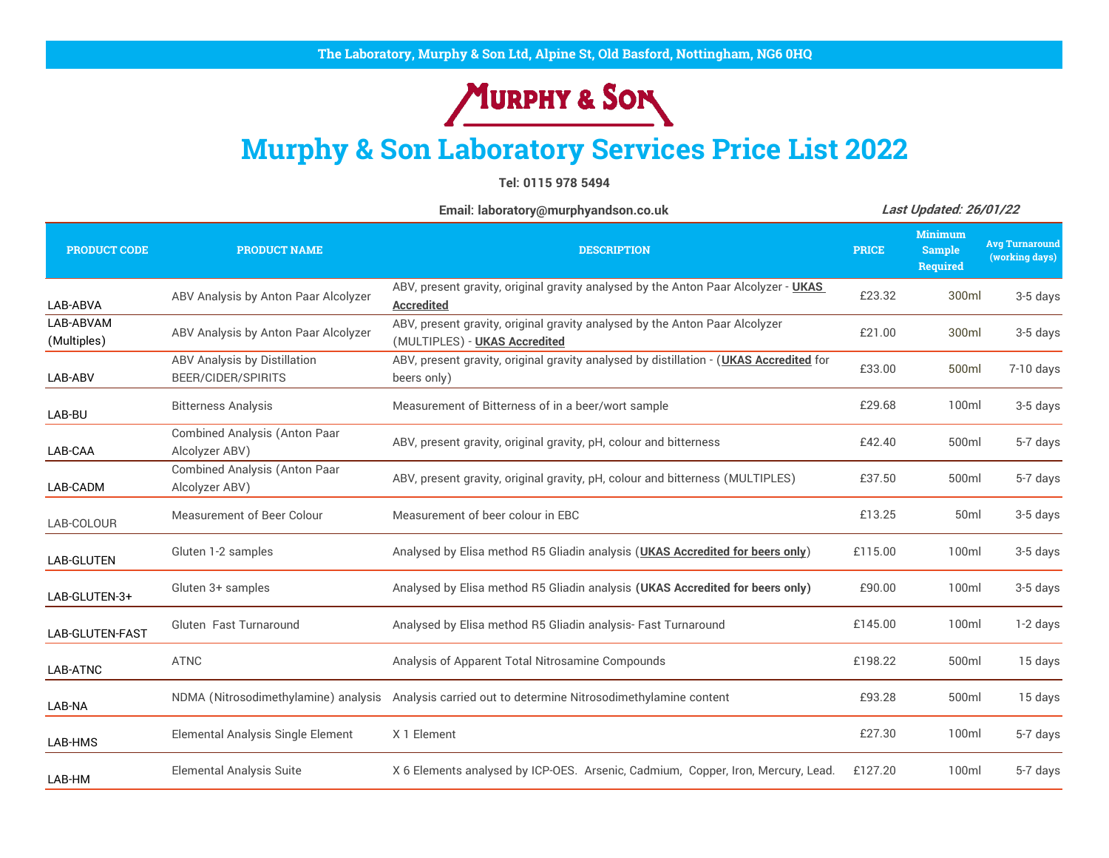## MURPHY & SON

## **Murphy & Son Laboratory Services Price List 2022**

**Tel: 0115 978 5494**

**[Email: laboratory@murphyandson.co.uk](mailto:laboratory@murphyandson.co.uk) PRODUCT CODE PRODUCT NAME DESCRIPTION PRICE Minimum Sample Required Avg Turnaround (working days)** LAB-ABVA ABV Analysis by Anton Paar Alcolyzer ABV, present gravity, original gravity analysed by the Anton Paar Alcolyzer - **UKAS Accredited** £23.32 300ml 3-5 days LAB-ABVAM (Multiples) ABV Analysis by Anton Paar Alcolyzer ABV, present gravity, original gravity analysed by the Anton Paar Alcolyzer (MULTIPLES) - **UKAS Accredited** £21.00 300ml 3-5 days LAB-ABV ABV Analysis by Distillation BEER/CIDER/SPIRITS ABV, present gravity, original gravity analysed by distillation - (**UKAS Accredited** for beers only) £33.00 500ml 7-10 days LAB-BU Bitterness Analysis **Measurement of Bitterness of in a beer/wort sample E29.68** 100ml 3-5 days LAB-CAA Combined Analysis (Anton Paar ABV, present gravity, original gravity, pH, colour and bitterness E42.40 500ml 5-7 days<br>Alcolyzer ABV) LAB-CADM Combined Analysis (Anton Paar Alcolyzer ABV) ABV, present gravity, original gravity, pH, colour and bitterness (MULTIPLES) £37.50 500ml 5-7 days LAB-COLOUR Measurement of Beer Colour Measurement of beer colour in EBC Electronic Laboration of the S-5 days<br>LAB-COLOUR LAB-GLUTEN Gluten 1-2 samples Analysed by Elisa method R5 Gliadin analysis (**UKAS Accredited for beers only**) £115.00 100ml 3-5 days LAB-GLUTEN-3+ Gluten 3+ samples **Analysed by Elisa method R5 Gliadin analysis (UKAS Accredited for beers only)** £90.00 100ml 3-5 days LAB-GLUTEN-FAST Gluten Fast Turnaround **Analysed by Elisa method R5 Gliadin analysis-** Fast Turnaround **Element Case Case Club** 1-2 days LAB-ATNC ATNC **Analysis of Apparent Total Nitrosamine Compounds Analysis of Apparent Total Nitrosamine Compounds E198.22** 500ml 15 days LAB-NA NDMA (Nitrosodimethylamine) analysis Analysis carried out to determine Nitrosodimethylamine content £93.28 500ml 15 days LAB-HMS Elemental Analysis Single Element X 1 Element £27.30 100ml 5-7 days LAB-HM Elemental Analysis Suite X 6 Elements analysed by ICP-OES. Arsenic, Cadmium, Copper, Iron, Mercury, Lead. £127.20 100ml 5-7 days **Last Updated: 26/01/22**